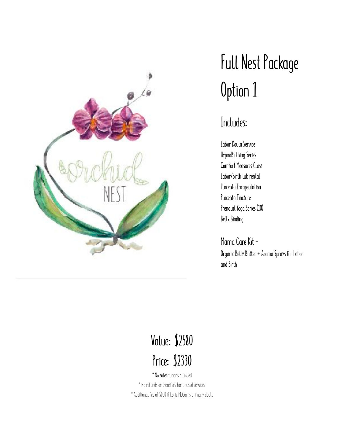

## **Full Nest Package Option 1**

#### **Includes:**

**Labor Doula Service HypnoBirthing Series Comfort Measures Class Labor/Birth tub rental Placenta Encapsulation Placenta Tincture Prenatal Yoga Series (10) Belly Binding** 

**Mama Care Kit - Organic Belly Butter + Aroma Sprays for Labor and Birth**

## **Value: \$2580 Price: \$2330**

\*No substitutions allowed \*No refunds or transfers for unused services \*Additional fee of \$600 if Lorie McCoy is primary doula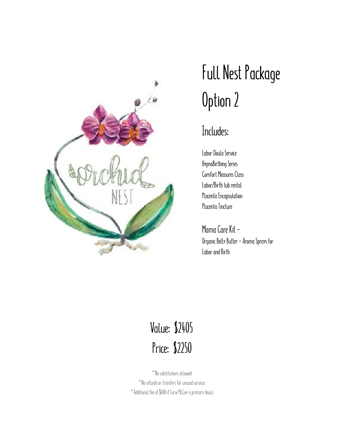

## **Full Nest Package Option 2**

#### **Includes:**

**Labor Doula Service HypnoBirthing Series Comfort Measures Class Labor/Birth tub rental Placenta Encapsulation Placenta Tincture** 

**Mama Care Kit - Organic Belly Butter + Aroma Sprays for Labor and Birth** 

### **Value: \$2405 Price: \$2250**

\*No substitutions allowed \*No refunds or transfers for unused services \*Additional fee of \$600 if Lorie McCoy is primary doula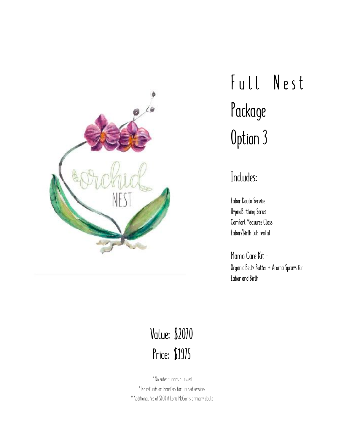

# Full Nest **Package Option 3**

#### **Includes:**

**Labor Doula Service HypnoBirthing Series Comfort Measures Class Labor/Birth tub rental** 

**Mama Care Kit - Organic Belly Butter + Aroma Sprays for Labor and Birth** 

### **Value: \$2070 Price: \$1975**

\*No substitutions allowed \*No refunds or transfers for unused services \*Additional fee of \$600 if Lorie McCoy is primary doula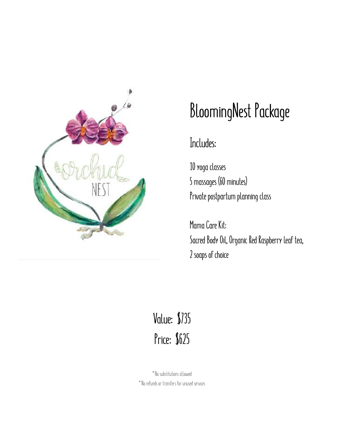

## **BloomingNest Package**

### **Includes:**

**10 yoga classes 5 massages (60 minutes) Private postpartum planning class** 

**Mama Care Kit: Sacred Body Oil, Organic Red Raspberry leaf tea, 2 soaps of choice** 

## **Value: \$735 Price: \$625**

\*No substitutions allowed \*No refunds or transfers for unused services